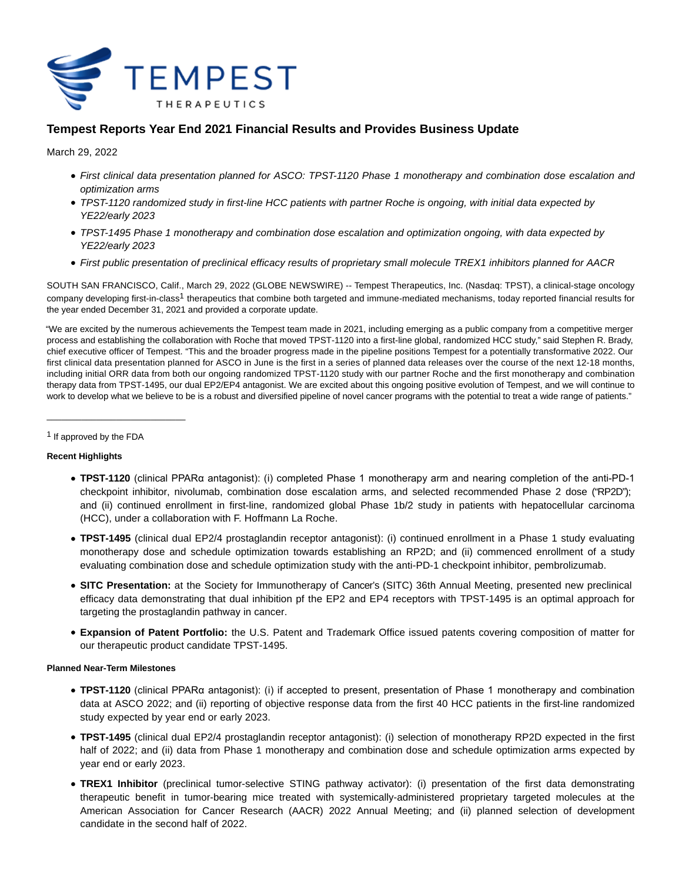

# **Tempest Reports Year End 2021 Financial Results and Provides Business Update**

March 29, 2022

- First clinical data presentation planned for ASCO: TPST-1120 Phase 1 monotherapy and combination dose escalation and optimization arms
- TPST-1120 randomized study in first-line HCC patients with partner Roche is ongoing, with initial data expected by YE22/early 2023
- TPST-1495 Phase 1 monotherapy and combination dose escalation and optimization ongoing, with data expected by YE22/early 2023
- First public presentation of preclinical efficacy results of proprietary small molecule TREX1 inhibitors planned for AACR

SOUTH SAN FRANCISCO, Calif., March 29, 2022 (GLOBE NEWSWIRE) -- Tempest Therapeutics, Inc. (Nasdaq: TPST), a clinical-stage oncology company developing first-in-class<sup>1</sup> therapeutics that combine both targeted and immune-mediated mechanisms, today reported financial results for the year ended December 31, 2021 and provided a corporate update.

"We are excited by the numerous achievements the Tempest team made in 2021, including emerging as a public company from a competitive merger process and establishing the collaboration with Roche that moved TPST-1120 into a first-line global, randomized HCC study," said Stephen R. Brady, chief executive officer of Tempest. "This and the broader progress made in the pipeline positions Tempest for a potentially transformative 2022. Our first clinical data presentation planned for ASCO in June is the first in a series of planned data releases over the course of the next 12-18 months, including initial ORR data from both our ongoing randomized TPST-1120 study with our partner Roche and the first monotherapy and combination therapy data from TPST-1495, our dual EP2/EP4 antagonist. We are excited about this ongoing positive evolution of Tempest, and we will continue to work to develop what we believe to be is a robust and diversified pipeline of novel cancer programs with the potential to treat a wide range of patients."

\_\_\_\_\_\_\_\_\_\_\_\_\_\_\_\_\_\_\_\_\_\_\_\_\_\_\_\_

# **Recent Highlights**

- **TPST-1120** (clinical PPARα antagonist): (i) completed Phase 1 monotherapy arm and nearing completion of the anti-PD-1 checkpoint inhibitor, nivolumab, combination dose escalation arms, and selected recommended Phase 2 dose ("RP2D"); and (ii) continued enrollment in first-line, randomized global Phase 1b/2 study in patients with hepatocellular carcinoma (HCC), under a collaboration with F. Hoffmann La Roche.
- **TPST-1495** (clinical dual EP2/4 prostaglandin receptor antagonist): (i) continued enrollment in a Phase 1 study evaluating monotherapy dose and schedule optimization towards establishing an RP2D; and (ii) commenced enrollment of a study evaluating combination dose and schedule optimization study with the anti-PD-1 checkpoint inhibitor, pembrolizumab.
- **SITC Presentation:** at the Society for Immunotherapy of Cancer's (SITC) 36th Annual Meeting, presented new preclinical efficacy data demonstrating that dual inhibition pf the EP2 and EP4 receptors with TPST-1495 is an optimal approach for targeting the prostaglandin pathway in cancer.
- **Expansion of Patent Portfolio:** the U.S. Patent and Trademark Office issued patents covering composition of matter for our therapeutic product candidate TPST-1495.

# **Planned Near-Term Milestones**

- **TPST-1120** (clinical PPARα antagonist): (i) if accepted to present, presentation of Phase 1 monotherapy and combination data at ASCO 2022; and (ii) reporting of objective response data from the first 40 HCC patients in the first-line randomized study expected by year end or early 2023.
- **TPST-1495** (clinical dual EP2/4 prostaglandin receptor antagonist): (i) selection of monotherapy RP2D expected in the first half of 2022; and (ii) data from Phase 1 monotherapy and combination dose and schedule optimization arms expected by year end or early 2023.
- **TREX1 Inhibitor** (preclinical tumor-selective STING pathway activator): (i) presentation of the first data demonstrating therapeutic benefit in tumor-bearing mice treated with systemically-administered proprietary targeted molecules at the American Association for Cancer Research (AACR) 2022 Annual Meeting; and (ii) planned selection of development candidate in the second half of 2022.

<sup>&</sup>lt;sup>1</sup> If approved by the FDA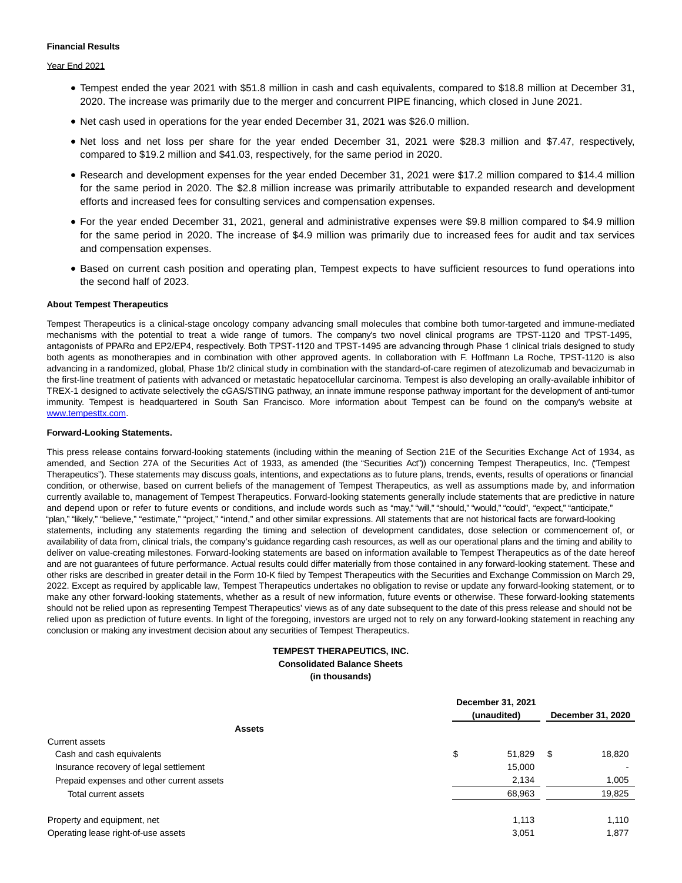# **Financial Results**

Year End 2021

- Tempest ended the year 2021 with \$51.8 million in cash and cash equivalents, compared to \$18.8 million at December 31, 2020. The increase was primarily due to the merger and concurrent PIPE financing, which closed in June 2021.
- Net cash used in operations for the year ended December 31, 2021 was \$26.0 million.
- Net loss and net loss per share for the year ended December 31, 2021 were \$28.3 million and \$7.47, respectively, compared to \$19.2 million and \$41.03, respectively, for the same period in 2020.
- Research and development expenses for the year ended December 31, 2021 were \$17.2 million compared to \$14.4 million for the same period in 2020. The \$2.8 million increase was primarily attributable to expanded research and development efforts and increased fees for consulting services and compensation expenses.
- For the year ended December 31, 2021, general and administrative expenses were \$9.8 million compared to \$4.9 million for the same period in 2020. The increase of \$4.9 million was primarily due to increased fees for audit and tax services and compensation expenses.
- Based on current cash position and operating plan, Tempest expects to have sufficient resources to fund operations into the second half of 2023.

# **About Tempest Therapeutics**

Tempest Therapeutics is a clinical-stage oncology company advancing small molecules that combine both tumor-targeted and immune-mediated mechanisms with the potential to treat a wide range of tumors. The company's two novel clinical programs are TPST-1120 and TPST-1495, antagonists of PPARα and EP2/EP4, respectively. Both TPST-1120 and TPST-1495 are advancing through Phase 1 clinical trials designed to study both agents as monotherapies and in combination with other approved agents. In collaboration with F. Hoffmann La Roche, TPST-1120 is also advancing in a randomized, global, Phase 1b/2 clinical study in combination with the standard-of-care regimen of atezolizumab and bevacizumab in the first-line treatment of patients with advanced or metastatic hepatocellular carcinoma. Tempest is also developing an orally-available inhibitor of TREX-1 designed to activate selectively the cGAS/STING pathway, an innate immune response pathway important for the development of anti-tumor immunity. Tempest is headquartered in South San Francisco. More information about Tempest can be found on the company's website at [www.tempesttx.com.](https://www.globenewswire.com/Tracker?data=_ARF3QcRBS6dZnLyQiAb0NWzuUInNymHTm7BXkCrSBqqUchmka5c1de4QmmNO89vyoX8Hlv0BA_wVyQfN_-mqg==)

#### **Forward-Looking Statements.**

This press release contains forward-looking statements (including within the meaning of Section 21E of the Securities Exchange Act of 1934, as amended, and Section 27A of the Securities Act of 1933, as amended (the "Securities Act")) concerning Tempest Therapeutics, Inc. ("Tempest Therapeutics"). These statements may discuss goals, intentions, and expectations as to future plans, trends, events, results of operations or financial condition, or otherwise, based on current beliefs of the management of Tempest Therapeutics, as well as assumptions made by, and information currently available to, management of Tempest Therapeutics. Forward-looking statements generally include statements that are predictive in nature and depend upon or refer to future events or conditions, and include words such as "may," "will," "should," "would," "could", "expect," "anticipate," "plan," "likely," "believe," "estimate," "project," "intend," and other similar expressions. All statements that are not historical facts are forward-looking statements, including any statements regarding the timing and selection of development candidates, dose selection or commencement of, or availability of data from, clinical trials, the company's guidance regarding cash resources, as well as our operational plans and the timing and ability to deliver on value-creating milestones. Forward-looking statements are based on information available to Tempest Therapeutics as of the date hereof and are not guarantees of future performance. Actual results could differ materially from those contained in any forward-looking statement. These and other risks are described in greater detail in the Form 10-K filed by Tempest Therapeutics with the Securities and Exchange Commission on March 29, 2022. Except as required by applicable law, Tempest Therapeutics undertakes no obligation to revise or update any forward-looking statement, or to make any other forward-looking statements, whether as a result of new information, future events or otherwise. These forward-looking statements should not be relied upon as representing Tempest Therapeutics' views as of any date subsequent to the date of this press release and should not be relied upon as prediction of future events. In light of the foregoing, investors are urged not to rely on any forward-looking statement in reaching any conclusion or making any investment decision about any securities of Tempest Therapeutics.

# **TEMPEST THERAPEUTICS, INC.**

# **Consolidated Balance Sheets (in thousands)**

**December 31, 2021**

|                                           | December 31, 2021 |             |   |                   |  |
|-------------------------------------------|-------------------|-------------|---|-------------------|--|
|                                           |                   | (unaudited) |   | December 31, 2020 |  |
| <b>Assets</b>                             |                   |             |   |                   |  |
| <b>Current assets</b>                     |                   |             |   |                   |  |
| Cash and cash equivalents                 | \$                | 51,829      | S | 18,820            |  |
| Insurance recovery of legal settlement    |                   | 15,000      |   |                   |  |
| Prepaid expenses and other current assets |                   | 2,134       |   | 1,005             |  |
| Total current assets                      |                   | 68,963      |   | 19,825            |  |
|                                           |                   |             |   |                   |  |
| Property and equipment, net               |                   | 1.113       |   | 1,110             |  |
| Operating lease right-of-use assets       |                   | 3,051       |   | 1,877             |  |
|                                           |                   |             |   |                   |  |